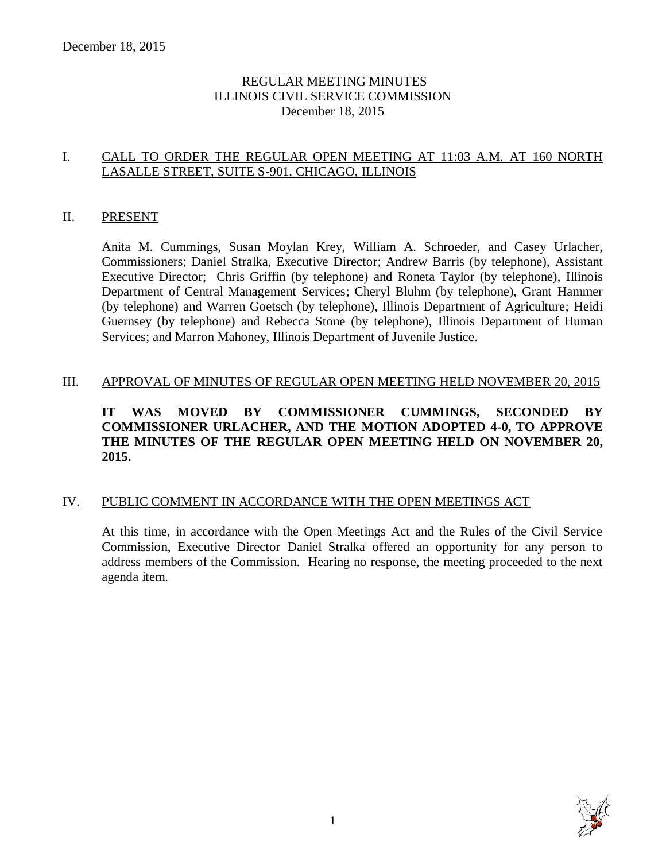# REGULAR MEETING MINUTES ILLINOIS CIVIL SERVICE COMMISSION December 18, 2015

# I. CALL TO ORDER THE REGULAR OPEN MEETING AT 11:03 A.M. AT 160 NORTH LASALLE STREET, SUITE S-901, CHICAGO, ILLINOIS

### II. PRESENT

Anita M. Cummings, Susan Moylan Krey, William A. Schroeder, and Casey Urlacher, Commissioners; Daniel Stralka, Executive Director; Andrew Barris (by telephone), Assistant Executive Director; Chris Griffin (by telephone) and Roneta Taylor (by telephone), Illinois Department of Central Management Services; Cheryl Bluhm (by telephone), Grant Hammer (by telephone) and Warren Goetsch (by telephone), Illinois Department of Agriculture; Heidi Guernsey (by telephone) and Rebecca Stone (by telephone), Illinois Department of Human Services; and Marron Mahoney, Illinois Department of Juvenile Justice.

### III. APPROVAL OF MINUTES OF REGULAR OPEN MEETING HELD NOVEMBER 20, 2015

# **IT WAS MOVED BY COMMISSIONER CUMMINGS, SECONDED BY COMMISSIONER URLACHER, AND THE MOTION ADOPTED 4-0, TO APPROVE THE MINUTES OF THE REGULAR OPEN MEETING HELD ON NOVEMBER 20, 2015.**

# IV. PUBLIC COMMENT IN ACCORDANCE WITH THE OPEN MEETINGS ACT

At this time, in accordance with the Open Meetings Act and the Rules of the Civil Service Commission, Executive Director Daniel Stralka offered an opportunity for any person to address members of the Commission. Hearing no response, the meeting proceeded to the next agenda item.

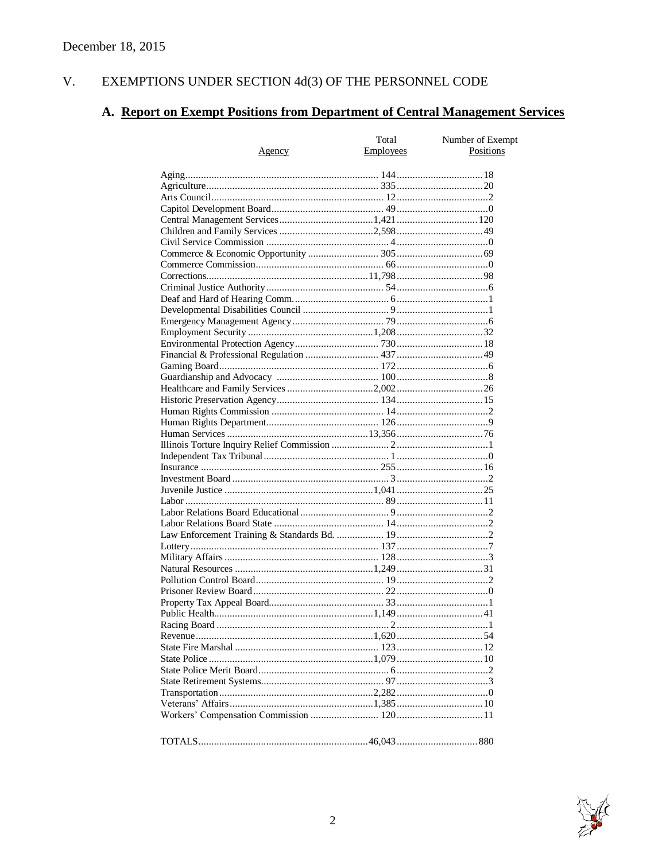#### $V<sub>1</sub>$ EXEMPTIONS UNDER SECTION  $4d(3)$  OF THE PERSONNEL CODE

# A. Report on Exempt Positions from Department of Central Management Services

|               | Total            | Number of Exempt |
|---------------|------------------|------------------|
| <u>Agency</u> | <b>Employees</b> | Positions        |
|               |                  |                  |
|               |                  |                  |
|               |                  |                  |
|               |                  |                  |
|               |                  |                  |
|               |                  |                  |
|               |                  |                  |
|               |                  |                  |
|               |                  |                  |
|               |                  |                  |
|               |                  |                  |
|               |                  |                  |
|               |                  |                  |
|               |                  |                  |
|               |                  |                  |
|               |                  |                  |
|               |                  |                  |
|               |                  |                  |
|               |                  |                  |
|               |                  |                  |
|               |                  |                  |
|               |                  |                  |
|               |                  |                  |
|               |                  |                  |
|               |                  |                  |
|               |                  |                  |
|               |                  |                  |
|               |                  |                  |
|               |                  |                  |
|               |                  |                  |
|               |                  |                  |
|               |                  |                  |
|               |                  |                  |
|               |                  |                  |
|               |                  |                  |
|               |                  |                  |
|               |                  |                  |
|               |                  |                  |
|               |                  |                  |
|               |                  |                  |
|               |                  |                  |
|               |                  |                  |
|               |                  |                  |
|               |                  |                  |
|               |                  |                  |
|               |                  |                  |
|               |                  |                  |
|               |                  |                  |
|               |                  |                  |
|               |                  |                  |
|               |                  |                  |
|               |                  |                  |
|               |                  |                  |
|               |                  |                  |

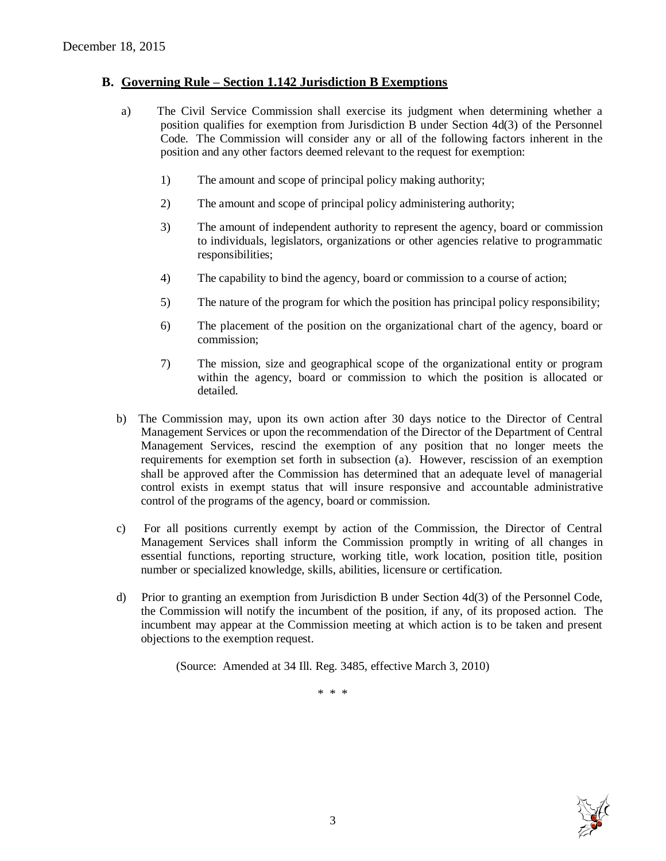# **B. Governing Rule – Section 1.142 Jurisdiction B Exemptions**

- a) The Civil Service Commission shall exercise its judgment when determining whether a position qualifies for exemption from Jurisdiction B under Section 4d(3) of the Personnel Code. The Commission will consider any or all of the following factors inherent in the position and any other factors deemed relevant to the request for exemption:
	- 1) The amount and scope of principal policy making authority;
	- 2) The amount and scope of principal policy administering authority;
	- 3) The amount of independent authority to represent the agency, board or commission to individuals, legislators, organizations or other agencies relative to programmatic responsibilities;
	- 4) The capability to bind the agency, board or commission to a course of action;
	- 5) The nature of the program for which the position has principal policy responsibility;
	- 6) The placement of the position on the organizational chart of the agency, board or commission;
	- 7) The mission, size and geographical scope of the organizational entity or program within the agency, board or commission to which the position is allocated or detailed.
- b) The Commission may, upon its own action after 30 days notice to the Director of Central Management Services or upon the recommendation of the Director of the Department of Central Management Services, rescind the exemption of any position that no longer meets the requirements for exemption set forth in subsection (a). However, rescission of an exemption shall be approved after the Commission has determined that an adequate level of managerial control exists in exempt status that will insure responsive and accountable administrative control of the programs of the agency, board or commission.
- c) For all positions currently exempt by action of the Commission, the Director of Central Management Services shall inform the Commission promptly in writing of all changes in essential functions, reporting structure, working title, work location, position title, position number or specialized knowledge, skills, abilities, licensure or certification.
- d) Prior to granting an exemption from Jurisdiction B under Section 4d(3) of the Personnel Code, the Commission will notify the incumbent of the position, if any, of its proposed action. The incumbent may appear at the Commission meeting at which action is to be taken and present objections to the exemption request.

(Source: Amended at 34 Ill. Reg. 3485, effective March 3, 2010)

\* \* \*

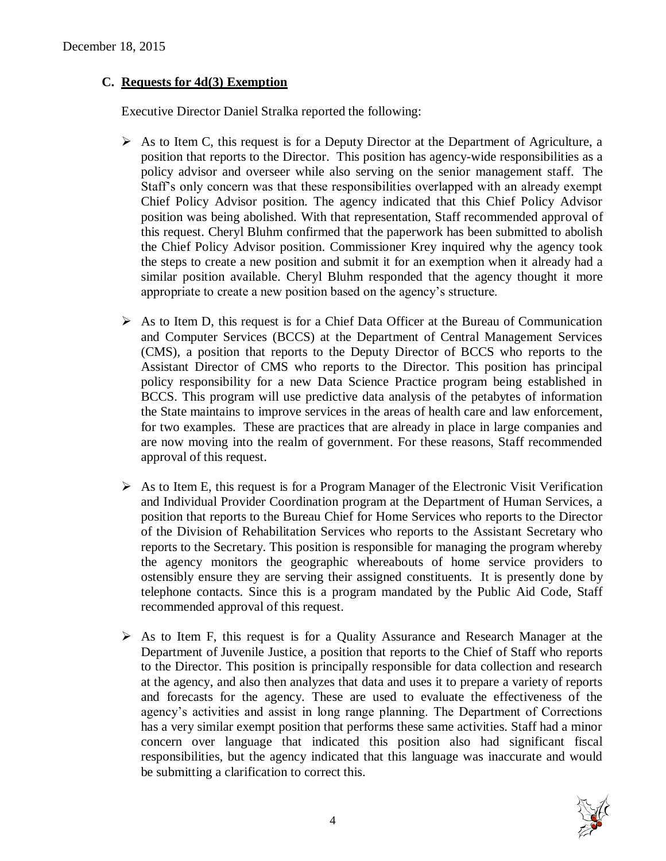# **C. Requests for 4d(3) Exemption**

Executive Director Daniel Stralka reported the following:

- $\triangleright$  As to Item C, this request is for a Deputy Director at the Department of Agriculture, a position that reports to the Director. This position has agency-wide responsibilities as a policy advisor and overseer while also serving on the senior management staff. The Staff's only concern was that these responsibilities overlapped with an already exempt Chief Policy Advisor position. The agency indicated that this Chief Policy Advisor position was being abolished. With that representation, Staff recommended approval of this request. Cheryl Bluhm confirmed that the paperwork has been submitted to abolish the Chief Policy Advisor position. Commissioner Krey inquired why the agency took the steps to create a new position and submit it for an exemption when it already had a similar position available. Cheryl Bluhm responded that the agency thought it more appropriate to create a new position based on the agency's structure.
- $\triangleright$  As to Item D, this request is for a Chief Data Officer at the Bureau of Communication and Computer Services (BCCS) at the Department of Central Management Services (CMS), a position that reports to the Deputy Director of BCCS who reports to the Assistant Director of CMS who reports to the Director. This position has principal policy responsibility for a new Data Science Practice program being established in BCCS. This program will use predictive data analysis of the petabytes of information the State maintains to improve services in the areas of health care and law enforcement, for two examples. These are practices that are already in place in large companies and are now moving into the realm of government. For these reasons, Staff recommended approval of this request.
- $\triangleright$  As to Item E, this request is for a Program Manager of the Electronic Visit Verification and Individual Provider Coordination program at the Department of Human Services, a position that reports to the Bureau Chief for Home Services who reports to the Director of the Division of Rehabilitation Services who reports to the Assistant Secretary who reports to the Secretary. This position is responsible for managing the program whereby the agency monitors the geographic whereabouts of home service providers to ostensibly ensure they are serving their assigned constituents. It is presently done by telephone contacts. Since this is a program mandated by the Public Aid Code, Staff recommended approval of this request.
- $\triangleright$  As to Item F, this request is for a Quality Assurance and Research Manager at the Department of Juvenile Justice, a position that reports to the Chief of Staff who reports to the Director. This position is principally responsible for data collection and research at the agency, and also then analyzes that data and uses it to prepare a variety of reports and forecasts for the agency. These are used to evaluate the effectiveness of the agency's activities and assist in long range planning. The Department of Corrections has a very similar exempt position that performs these same activities. Staff had a minor concern over language that indicated this position also had significant fiscal responsibilities, but the agency indicated that this language was inaccurate and would be submitting a clarification to correct this.

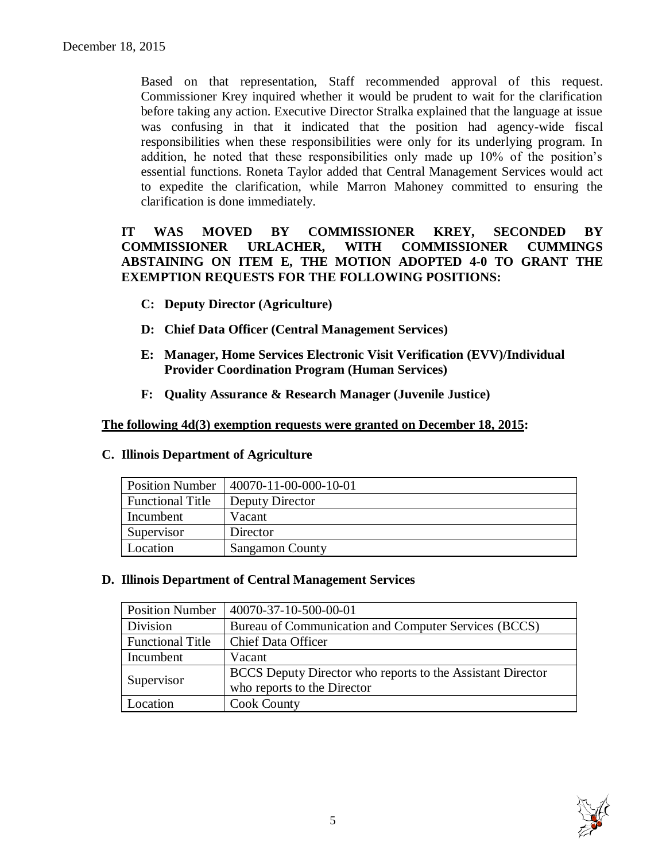Based on that representation, Staff recommended approval of this request. Commissioner Krey inquired whether it would be prudent to wait for the clarification before taking any action. Executive Director Stralka explained that the language at issue was confusing in that it indicated that the position had agency-wide fiscal responsibilities when these responsibilities were only for its underlying program. In addition, he noted that these responsibilities only made up 10% of the position's essential functions. Roneta Taylor added that Central Management Services would act to expedite the clarification, while Marron Mahoney committed to ensuring the clarification is done immediately.

# **IT WAS MOVED BY COMMISSIONER KREY, SECONDED BY COMMISSIONER URLACHER, WITH COMMISSIONER CUMMINGS ABSTAINING ON ITEM E, THE MOTION ADOPTED 4-0 TO GRANT THE EXEMPTION REQUESTS FOR THE FOLLOWING POSITIONS:**

- **C: Deputy Director (Agriculture)**
- **D: Chief Data Officer (Central Management Services)**
- **E: Manager, Home Services Electronic Visit Verification (EVV)/Individual Provider Coordination Program (Human Services)**
- **F: Quality Assurance & Research Manager (Juvenile Justice)**

#### **The following 4d(3) exemption requests were granted on December 18, 2015:**

#### **C. Illinois Department of Agriculture**

| <b>Position Number</b>  | 40070-11-00-000-10-01 |
|-------------------------|-----------------------|
| <b>Functional Title</b> | Deputy Director       |
| Incumbent               | Vacant                |
| Supervisor              | Director              |
| Location                | Sangamon County       |

#### **D. Illinois Department of Central Management Services**

| <b>Position Number</b>  | 40070-37-10-500-00-01                                      |
|-------------------------|------------------------------------------------------------|
| Division                | Bureau of Communication and Computer Services (BCCS)       |
| <b>Functional Title</b> | Chief Data Officer                                         |
| Incumbent               | Vacant                                                     |
| Supervisor              | BCCS Deputy Director who reports to the Assistant Director |
|                         | who reports to the Director                                |
| Location                | <b>Cook County</b>                                         |

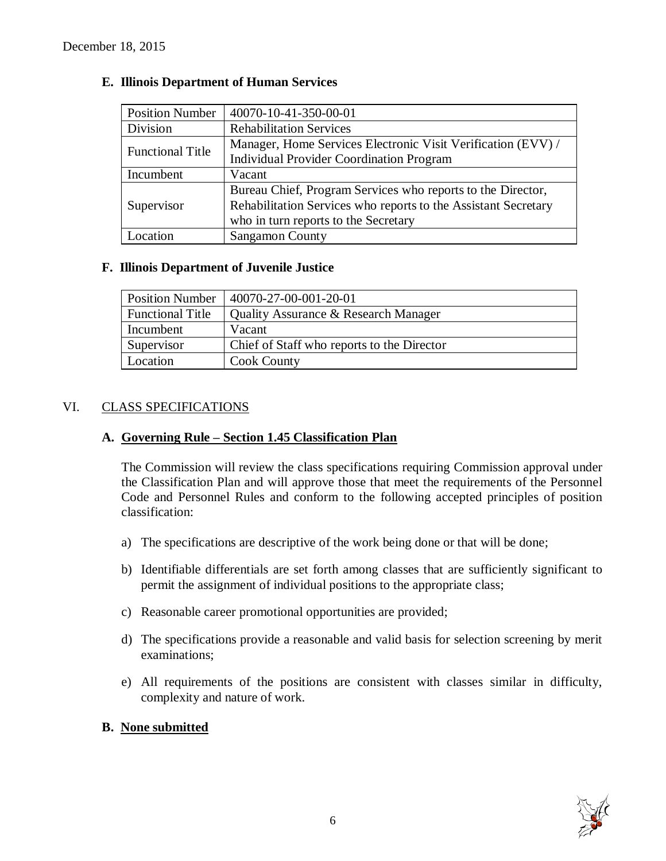| <b>Position Number</b>  | 40070-10-41-350-00-01                                          |
|-------------------------|----------------------------------------------------------------|
| Division                | <b>Rehabilitation Services</b>                                 |
| <b>Functional Title</b> | Manager, Home Services Electronic Visit Verification (EVV) /   |
|                         | <b>Individual Provider Coordination Program</b>                |
| Incumbent               | Vacant                                                         |
|                         | Bureau Chief, Program Services who reports to the Director,    |
| Supervisor              | Rehabilitation Services who reports to the Assistant Secretary |
|                         | who in turn reports to the Secretary                           |
| Location                | <b>Sangamon County</b>                                         |

# **E. Illinois Department of Human Services**

# **F. Illinois Department of Juvenile Justice**

| <b>Position Number</b>  | $140070 - 27 - 00 - 001 - 20 - 01$         |
|-------------------------|--------------------------------------------|
| <b>Functional Title</b> | Quality Assurance & Research Manager       |
| Incumbent               | Vacant                                     |
| Supervisor              | Chief of Staff who reports to the Director |
| Location                | <b>Cook County</b>                         |

# VI. CLASS SPECIFICATIONS

#### **A. Governing Rule – Section 1.45 Classification Plan**

The Commission will review the class specifications requiring Commission approval under the Classification Plan and will approve those that meet the requirements of the Personnel Code and Personnel Rules and conform to the following accepted principles of position classification:

- a) The specifications are descriptive of the work being done or that will be done;
- b) Identifiable differentials are set forth among classes that are sufficiently significant to permit the assignment of individual positions to the appropriate class;
- c) Reasonable career promotional opportunities are provided;
- d) The specifications provide a reasonable and valid basis for selection screening by merit examinations;
- e) All requirements of the positions are consistent with classes similar in difficulty, complexity and nature of work.

#### **B. None submitted**

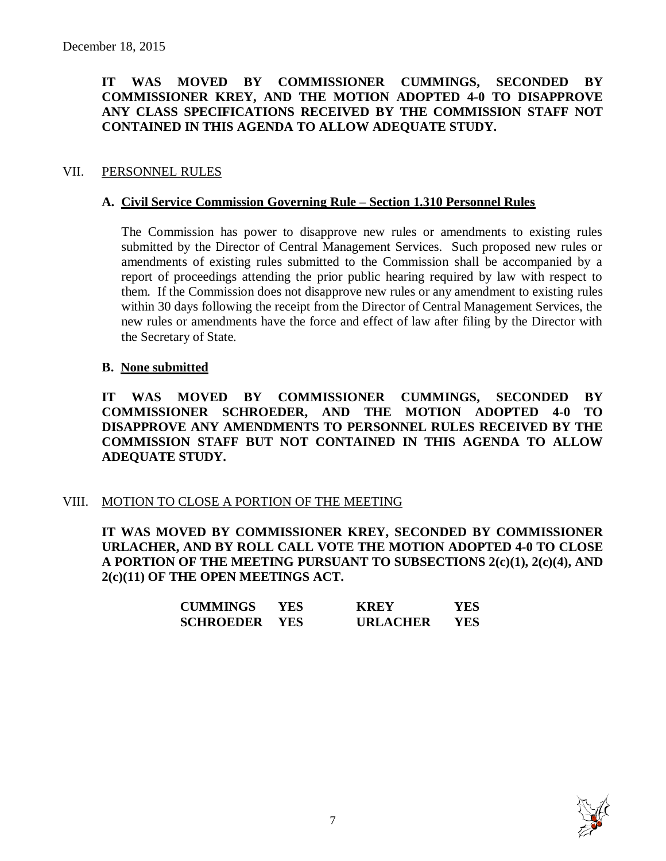# **IT WAS MOVED BY COMMISSIONER CUMMINGS, SECONDED BY COMMISSIONER KREY, AND THE MOTION ADOPTED 4-0 TO DISAPPROVE ANY CLASS SPECIFICATIONS RECEIVED BY THE COMMISSION STAFF NOT CONTAINED IN THIS AGENDA TO ALLOW ADEQUATE STUDY.**

### VII. PERSONNEL RULES

#### **A. Civil Service Commission Governing Rule – Section 1.310 Personnel Rules**

The Commission has power to disapprove new rules or amendments to existing rules submitted by the Director of Central Management Services. Such proposed new rules or amendments of existing rules submitted to the Commission shall be accompanied by a report of proceedings attending the prior public hearing required by law with respect to them. If the Commission does not disapprove new rules or any amendment to existing rules within 30 days following the receipt from the Director of Central Management Services, the new rules or amendments have the force and effect of law after filing by the Director with the Secretary of State.

### **B. None submitted**

**IT WAS MOVED BY COMMISSIONER CUMMINGS, SECONDED BY COMMISSIONER SCHROEDER, AND THE MOTION ADOPTED 4-0 TO DISAPPROVE ANY AMENDMENTS TO PERSONNEL RULES RECEIVED BY THE COMMISSION STAFF BUT NOT CONTAINED IN THIS AGENDA TO ALLOW ADEQUATE STUDY.** 

#### VIII. MOTION TO CLOSE A PORTION OF THE MEETING

**IT WAS MOVED BY COMMISSIONER KREY, SECONDED BY COMMISSIONER URLACHER, AND BY ROLL CALL VOTE THE MOTION ADOPTED 4-0 TO CLOSE A PORTION OF THE MEETING PURSUANT TO SUBSECTIONS 2(c)(1), 2(c)(4), AND 2(c)(11) OF THE OPEN MEETINGS ACT.**

| <b>CUMMINGS</b>  | YES.       | <b>KREY</b>     | YES |
|------------------|------------|-----------------|-----|
| <b>SCHROEDER</b> | <b>YES</b> | <b>URLACHER</b> | YES |

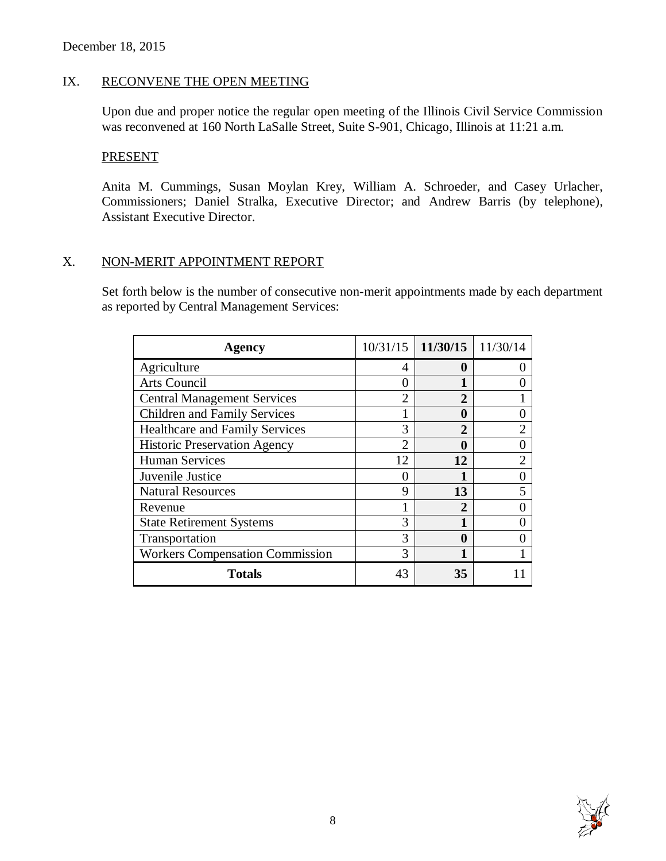# IX. RECONVENE THE OPEN MEETING

Upon due and proper notice the regular open meeting of the Illinois Civil Service Commission was reconvened at 160 North LaSalle Street, Suite S-901, Chicago, Illinois at 11:21 a.m.

#### **PRESENT**

Anita M. Cummings, Susan Moylan Krey, William A. Schroeder, and Casey Urlacher, Commissioners; Daniel Stralka, Executive Director; and Andrew Barris (by telephone), Assistant Executive Director.

### X. NON-MERIT APPOINTMENT REPORT

Set forth below is the number of consecutive non-merit appointments made by each department as reported by Central Management Services:

| <b>Agency</b>                          | 10/31/15      | $11/30/15$   $11/30/14$ |   |
|----------------------------------------|---------------|-------------------------|---|
| Agriculture                            | 4             | $\mathbf 0$             |   |
| Arts Council                           |               |                         |   |
| <b>Central Management Services</b>     | っ             | $\mathbf{2}$            |   |
| <b>Children and Family Services</b>    |               | 0                       |   |
| <b>Healthcare and Family Services</b>  | 3             | 2                       |   |
| <b>Historic Preservation Agency</b>    | $\mathcal{D}$ | $\mathbf 0$             |   |
| <b>Human Services</b>                  | 12            | 12                      |   |
| Juvenile Justice                       |               |                         |   |
| <b>Natural Resources</b>               | $\mathbf Q$   | 13                      | 5 |
| Revenue                                |               | $\mathbf 2$             |   |
| <b>State Retirement Systems</b>        | 3             |                         |   |
| Transportation                         | 3             | 0                       |   |
| <b>Workers Compensation Commission</b> |               |                         |   |
| <b>Totals</b>                          | 43            | 35                      |   |

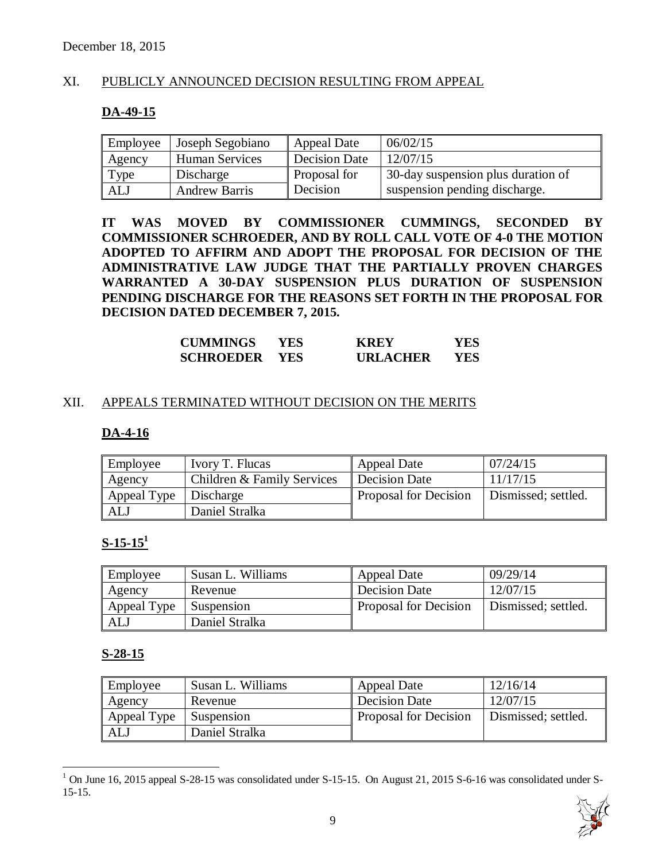# XI. PUBLICLY ANNOUNCED DECISION RESULTING FROM APPEAL

#### **DA-49-15**

| Employee | Joseph Segobiano     | <b>Appeal Date</b>   | 06/02/15                           |
|----------|----------------------|----------------------|------------------------------------|
| Agency   | Human Services       | <b>Decision Date</b> | 12/07/15                           |
| Type     | Discharge            | Proposal for         | 30-day suspension plus duration of |
| ALJ      | <b>Andrew Barris</b> | Decision             | suspension pending discharge.      |

**IT WAS MOVED BY COMMISSIONER CUMMINGS, SECONDED BY COMMISSIONER SCHROEDER, AND BY ROLL CALL VOTE OF 4-0 THE MOTION ADOPTED TO AFFIRM AND ADOPT THE PROPOSAL FOR DECISION OF THE ADMINISTRATIVE LAW JUDGE THAT THE PARTIALLY PROVEN CHARGES WARRANTED A 30-DAY SUSPENSION PLUS DURATION OF SUSPENSION PENDING DISCHARGE FOR THE REASONS SET FORTH IN THE PROPOSAL FOR DECISION DATED DECEMBER 7, 2015.**

| <b>CUMMINGS</b>  | YES.       | <b>KREY</b>     | YES |
|------------------|------------|-----------------|-----|
| <b>SCHROEDER</b> | <b>YES</b> | <b>URLACHER</b> | YES |

#### XII. APPEALS TERMINATED WITHOUT DECISION ON THE MERITS

#### **DA-4-16**

| Employee                | Ivory T. Flucas            | <b>Appeal Date</b>           | 07/24/15            |
|-------------------------|----------------------------|------------------------------|---------------------|
| Agency                  | Children & Family Services | Decision Date                | 11/17/15            |
| Appeal Type   Discharge |                            | <b>Proposal for Decision</b> | Dismissed; settled. |
| ALJ                     | Daniel Stralka             |                              |                     |

# **S-15-15<sup>1</sup>**

| Employee    | Susan L. Williams | <b>Appeal Date</b>           | 09/29/14            |
|-------------|-------------------|------------------------------|---------------------|
| Agency      | Revenue           | Decision Date                | 12/07/15            |
| Appeal Type | Suspension        | <b>Proposal for Decision</b> | Dismissed; settled. |
| ALJ         | Daniel Stralka    |                              |                     |

#### **S-28-15**

 $\overline{a}$ 

| Employee       | Susan L. Williams | <b>Appeal Date</b>    | 12/16/14            |
|----------------|-------------------|-----------------------|---------------------|
| $\vert$ Agency | Revenue           | Decision Date         | 12/07/15            |
| Appeal Type    | Suspension        | Proposal for Decision | Dismissed; settled. |
| ALJ            | Daniel Stralka    |                       |                     |

 $1$  On June 16, 2015 appeal S-28-15 was consolidated under S-15-15. On August 21, 2015 S-6-16 was consolidated under S-15-15.

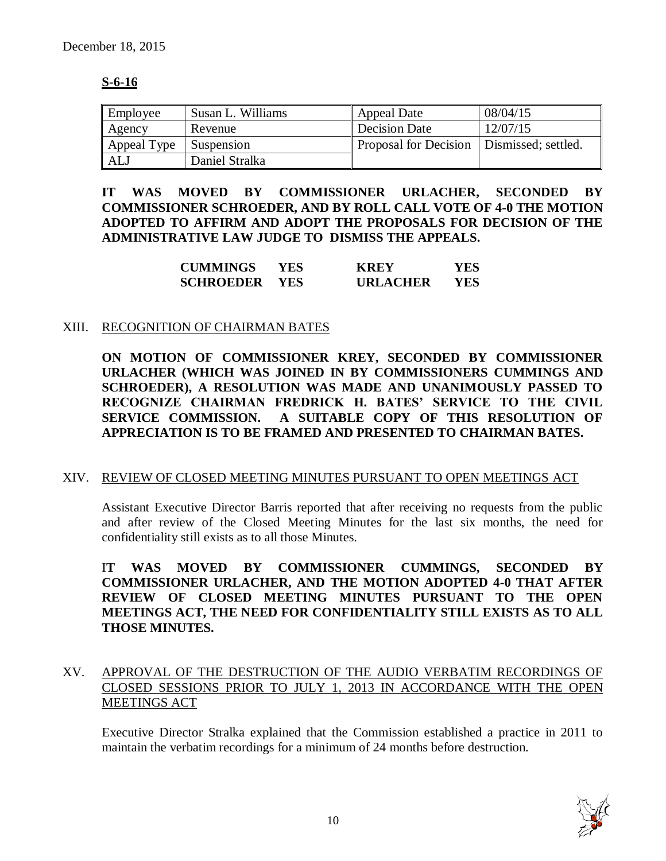# **S-6-16**

| Employee      | Susan L. Williams | <b>Appeal Date</b>                          | 08/04/15 |
|---------------|-------------------|---------------------------------------------|----------|
| <b>Agency</b> | Revenue           | <b>Decision Date</b>                        | 12/07/15 |
| Appeal Type   | Suspension        | Proposal for Decision   Dismissed; settled. |          |
| ALJ           | Daniel Stralka    |                                             |          |

**IT WAS MOVED BY COMMISSIONER URLACHER, SECONDED BY COMMISSIONER SCHROEDER, AND BY ROLL CALL VOTE OF 4-0 THE MOTION ADOPTED TO AFFIRM AND ADOPT THE PROPOSALS FOR DECISION OF THE ADMINISTRATIVE LAW JUDGE TO DISMISS THE APPEALS.** 

| <b>CUMMINGS</b>  | YES        | <b>KREY</b>     | YES |
|------------------|------------|-----------------|-----|
| <b>SCHROEDER</b> | <b>YES</b> | <b>URLACHER</b> | YES |

#### XIII. RECOGNITION OF CHAIRMAN BATES

**ON MOTION OF COMMISSIONER KREY, SECONDED BY COMMISSIONER URLACHER (WHICH WAS JOINED IN BY COMMISSIONERS CUMMINGS AND SCHROEDER), A RESOLUTION WAS MADE AND UNANIMOUSLY PASSED TO RECOGNIZE CHAIRMAN FREDRICK H. BATES' SERVICE TO THE CIVIL SERVICE COMMISSION. A SUITABLE COPY OF THIS RESOLUTION OF APPRECIATION IS TO BE FRAMED AND PRESENTED TO CHAIRMAN BATES.**

#### XIV. REVIEW OF CLOSED MEETING MINUTES PURSUANT TO OPEN MEETINGS ACT

Assistant Executive Director Barris reported that after receiving no requests from the public and after review of the Closed Meeting Minutes for the last six months, the need for confidentiality still exists as to all those Minutes.

I**T WAS MOVED BY COMMISSIONER CUMMINGS, SECONDED BY COMMISSIONER URLACHER, AND THE MOTION ADOPTED 4-0 THAT AFTER REVIEW OF CLOSED MEETING MINUTES PURSUANT TO THE OPEN MEETINGS ACT, THE NEED FOR CONFIDENTIALITY STILL EXISTS AS TO ALL THOSE MINUTES.**

# XV. APPROVAL OF THE DESTRUCTION OF THE AUDIO VERBATIM RECORDINGS OF CLOSED SESSIONS PRIOR TO JULY 1, 2013 IN ACCORDANCE WITH THE OPEN MEETINGS ACT

Executive Director Stralka explained that the Commission established a practice in 2011 to maintain the verbatim recordings for a minimum of 24 months before destruction.